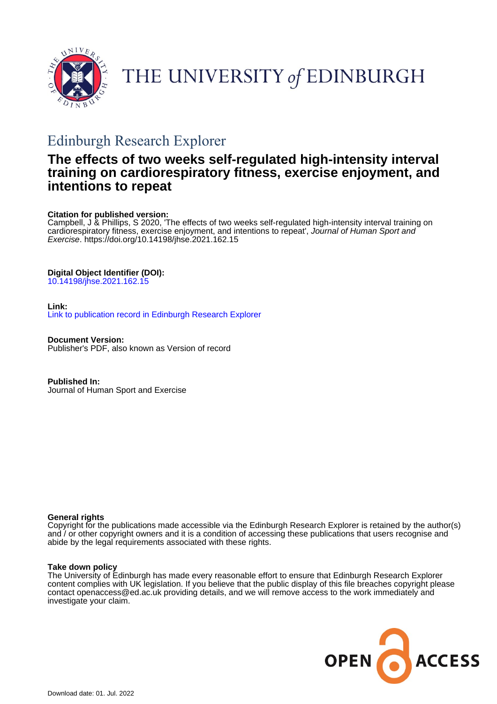

# THE UNIVERSITY of EDINBURGH

## Edinburgh Research Explorer

## **The effects of two weeks self-regulated high-intensity interval training on cardiorespiratory fitness, exercise enjoyment, and intentions to repeat**

#### **Citation for published version:**

Campbell, J & Phillips, S 2020, 'The effects of two weeks self-regulated high-intensity interval training on cardiorespiratory fitness, exercise enjoyment, and intentions to repeat', Journal of Human Sport and Exercise. <https://doi.org/10.14198/jhse.2021.162.15>

#### **Digital Object Identifier (DOI):**

[10.14198/jhse.2021.162.15](https://doi.org/10.14198/jhse.2021.162.15)

#### **Link:**

[Link to publication record in Edinburgh Research Explorer](https://www.research.ed.ac.uk/en/publications/413bf634-a93f-4af6-8f93-ac1570363c01)

**Document Version:** Publisher's PDF, also known as Version of record

**Published In:** Journal of Human Sport and Exercise

#### **General rights**

Copyright for the publications made accessible via the Edinburgh Research Explorer is retained by the author(s) and / or other copyright owners and it is a condition of accessing these publications that users recognise and abide by the legal requirements associated with these rights.

#### **Take down policy**

The University of Edinburgh has made every reasonable effort to ensure that Edinburgh Research Explorer content complies with UK legislation. If you believe that the public display of this file breaches copyright please contact openaccess@ed.ac.uk providing details, and we will remove access to the work immediately and investigate your claim.

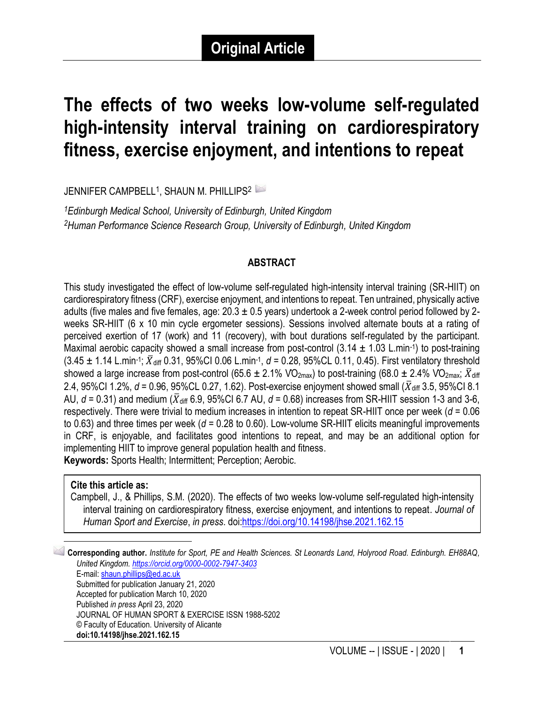## **The effects of two weeks low-volume self-regulated high-intensity interval training on cardiorespiratory fitness, exercise enjoyment, and intentions to repeat**

JENNIFER CAMPBELL<sup>1</sup>, SHAUN M. PHILLIPS<sup>2 II</sup>

*<sup>1</sup>Edinburgh Medical School, University of Edinburgh, United Kingdom <sup>2</sup>Human Performance Science Research Group, University of Edinburgh, United Kingdom*

#### **ABSTRACT**

This study investigated the effect of low-volume self-regulated high-intensity interval training (SR-HIIT) on cardiorespiratory fitness (CRF), exercise enjoyment, and intentions to repeat. Ten untrained, physically active adults (five males and five females, age:  $20.3 \pm 0.5$  years) undertook a 2-week control period followed by 2weeks SR-HIIT (6 x 10 min cycle ergometer sessions). Sessions involved alternate bouts at a rating of perceived exertion of 17 (work) and 11 (recovery), with bout durations self-regulated by the participant. Maximal aerobic capacity showed a small increase from post-control  $(3.14 \pm 1.03 \text{ L} \cdot \text{min}^{-1})$  to post-training  $(3.45 \pm 1.14 \text{ L.min-1}; \bar{X}_{diff} 0.31, 95\% \text{Cl} 0.06 \text{ L.min-1}, d = 0.28, 95\% \text{CL} 0.11, 0.45)$ . First ventilatory threshold showed a large increase from post-control (65.6  $\pm$  2.1% VO<sub>2max</sub>) to post-training (68.0  $\pm$  2.4% VO<sub>2max</sub>;  $\bar{X}_{diff}$ 2.4, 95%CI 1.2%,  $d = 0.96$ , 95%CL 0.27, 1.62). Post-exercise enjoyment showed small ( $\bar{X}_{diff}$  3.5, 95%CI 8.1 AU,  $d = 0.31$ ) and medium ( $\bar{X}_{diff}$  6.9, 95%CI 6.7 AU,  $d = 0.68$ ) increases from SR-HIIT session 1-3 and 3-6, respectively. There were trivial to medium increases in intention to repeat SR-HIIT once per week (*d* = 0.06 to 0.63) and three times per week (*d* = 0.28 to 0.60). Low-volume SR-HIIT elicits meaningful improvements in CRF, is enjoyable, and facilitates good intentions to repeat, and may be an additional option for implementing HIIT to improve general population health and fitness. **Keywords:** Sports Health; Intermittent; Perception; Aerobic.

#### **Cite this article as:**

Campbell, J., & Phillips, S.M. (2020). The effects of two weeks low-volume self-regulated high-intensity interval training on cardiorespiratory fitness, exercise enjoyment, and intentions to repeat. *Journal of Human Sport and Exercise*, *in press*. do[i:https://doi.org/10.14198/jhse.2021.162.15](https://doi.org/10.14198/jhse.2021.162.15)

1 **Corresponding author.** *Institute for Sport, PE and Health Sciences. St Leonards Land, Holyrood Road. Edinburgh. EH88AQ, United Kingdom. <https://orcid.org/0000-0002-7947-3403>* E-mail: [shaun.phillips@ed.ac.uk](mailto:shaun.phillips@ed.ac.uk) Submitted for publication January 21, 2020 Accepted for publication March 10, 2020 Published *in press* April 23, 2020 JOURNAL OF HUMAN SPORT & EXERCISE ISSN 1988-5202 © Faculty of Education. University of Alicante **doi:10.14198/jhse.2021.162.15**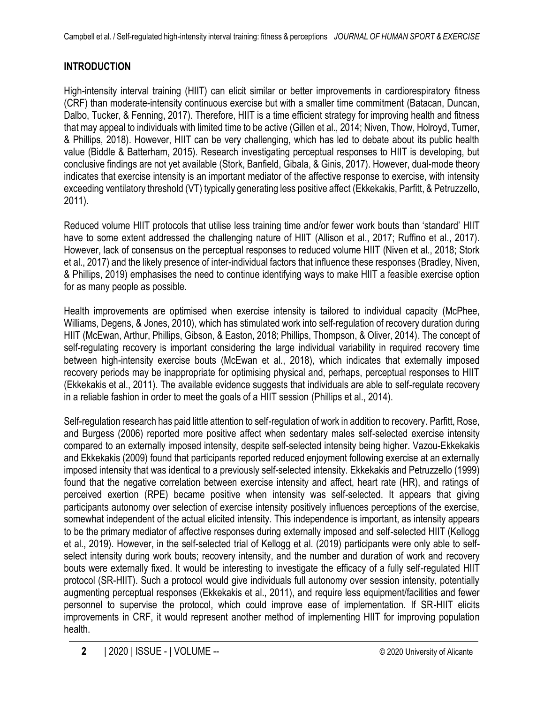## **INTRODUCTION**

High-intensity interval training (HIIT) can elicit similar or better improvements in cardiorespiratory fitness (CRF) than moderate-intensity continuous exercise but with a smaller time commitment (Batacan, Duncan, Dalbo, Tucker, & Fenning, 2017). Therefore, HIIT is a time efficient strategy for improving health and fitness that may appeal to individuals with limited time to be active (Gillen et al., 2014; Niven, Thow, Holroyd, Turner, & Phillips, 2018). However, HIIT can be very challenging, which has led to debate about its public health value (Biddle & Batterham, 2015). Research investigating perceptual responses to HIIT is developing, but conclusive findings are not yet available (Stork, Banfield, Gibala, & Ginis, 2017). However, dual-mode theory indicates that exercise intensity is an important mediator of the affective response to exercise, with intensity exceeding ventilatory threshold (VT) typically generating less positive affect (Ekkekakis, Parfitt, & Petruzzello, 2011).

Reduced volume HIIT protocols that utilise less training time and/or fewer work bouts than 'standard' HIIT have to some extent addressed the challenging nature of HIIT (Allison et al., 2017; Ruffino et al., 2017). However, lack of consensus on the perceptual responses to reduced volume HIIT (Niven et al., 2018; Stork et al., 2017) and the likely presence of inter-individual factors that influence these responses (Bradley, Niven, & Phillips, 2019) emphasises the need to continue identifying ways to make HIIT a feasible exercise option for as many people as possible.

Health improvements are optimised when exercise intensity is tailored to individual capacity (McPhee, Williams, Degens, & Jones, 2010), which has stimulated work into self-regulation of recovery duration during HIIT (McEwan, Arthur, Phillips, Gibson, & Easton, 2018; Phillips, Thompson, & Oliver, 2014). The concept of self-regulating recovery is important considering the large individual variability in required recovery time between high-intensity exercise bouts (McEwan et al., 2018), which indicates that externally imposed recovery periods may be inappropriate for optimising physical and, perhaps, perceptual responses to HIIT (Ekkekakis et al., 2011). The available evidence suggests that individuals are able to self-regulate recovery in a reliable fashion in order to meet the goals of a HIIT session (Phillips et al., 2014).

Self-regulation research has paid little attention to self-regulation of work in addition to recovery. Parfitt, Rose, and Burgess (2006) reported more positive affect when sedentary males self-selected exercise intensity compared to an externally imposed intensity, despite self-selected intensity being higher. Vazou-Ekkekakis and Ekkekakis (2009) found that participants reported reduced enjoyment following exercise at an externally imposed intensity that was identical to a previously self-selected intensity. Ekkekakis and Petruzzello (1999) found that the negative correlation between exercise intensity and affect, heart rate (HR), and ratings of perceived exertion (RPE) became positive when intensity was self-selected. It appears that giving participants autonomy over selection of exercise intensity positively influences perceptions of the exercise, somewhat independent of the actual elicited intensity. This independence is important, as intensity appears to be the primary mediator of affective responses during externally imposed and self-selected HIIT (Kellogg et al., 2019). However, in the self-selected trial of Kellogg et al. (2019) participants were only able to selfselect intensity during work bouts; recovery intensity, and the number and duration of work and recovery bouts were externally fixed. It would be interesting to investigate the efficacy of a fully self-regulated HIIT protocol (SR-HIIT). Such a protocol would give individuals full autonomy over session intensity, potentially augmenting perceptual responses (Ekkekakis et al., 2011), and require less equipment/facilities and fewer personnel to supervise the protocol, which could improve ease of implementation. If SR-HIIT elicits improvements in CRF, it would represent another method of implementing HIIT for improving population health.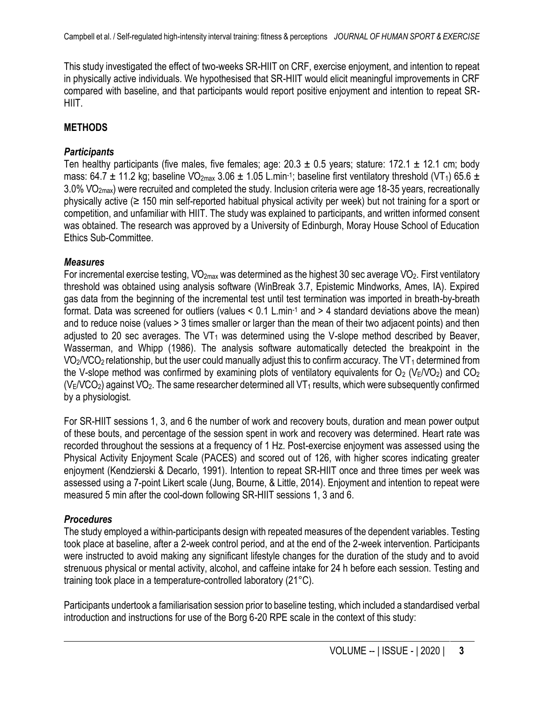This study investigated the effect of two-weeks SR-HIIT on CRF, exercise enjoyment, and intention to repeat in physically active individuals. We hypothesised that SR-HIIT would elicit meaningful improvements in CRF compared with baseline, and that participants would report positive enjoyment and intention to repeat SR-HIIT.

#### **METHODS**

#### *Participants*

Ten healthy participants (five males, five females; age:  $20.3 \pm 0.5$  years; stature: 172.1  $\pm$  12.1 cm; body mass: 64.7  $\pm$  11.2 kg; baseline VO<sub>2max</sub> 3.06  $\pm$  1.05 L.min-1; baseline first ventilatory threshold (VT<sub>1</sub>) 65.6  $\pm$ 3.0% V̇O2max) were recruited and completed the study. Inclusion criteria were age 18-35 years, recreationally physically active (≥ 150 min self-reported habitual physical activity per week) but not training for a sport or competition, and unfamiliar with HIIT. The study was explained to participants, and written informed consent was obtained. The research was approved by a University of Edinburgh, Moray House School of Education Ethics Sub-Committee.

#### *Measures*

For incremental exercise testing,  $VO_{2max}$  was determined as the highest 30 sec average  $VO_2$ . First ventilatory threshold was obtained using analysis software (WinBreak 3.7, Epistemic Mindworks, Ames, IA). Expired gas data from the beginning of the incremental test until test termination was imported in breath-by-breath format. Data was screened for outliers (values < 0.1 L.min-1 and > 4 standard deviations above the mean) and to reduce noise (values > 3 times smaller or larger than the mean of their two adjacent points) and then adjusted to 20 sec averages. The  $VT_1$  was determined using the V-slope method described by Beaver, Wasserman, and Whipp (1986). The analysis software automatically detected the breakpoint in the  $VO<sub>2</sub>/VCO<sub>2</sub>$  relationship, but the user could manually adjust this to confirm accuracy. The VT<sub>1</sub> determined from the V-slope method was confirmed by examining plots of ventilatory equivalents for  $O_2$  (V<sub>E</sub>/VO<sub>2</sub>) and CO<sub>2</sub>  $(V<sub>E</sub>/VCO<sub>2</sub>)$  against VO<sub>2</sub>. The same researcher determined all VT<sub>1</sub> results, which were subsequently confirmed by a physiologist.

For SR-HIIT sessions 1, 3, and 6 the number of work and recovery bouts, duration and mean power output of these bouts, and percentage of the session spent in work and recovery was determined. Heart rate was recorded throughout the sessions at a frequency of 1 Hz. Post-exercise enjoyment was assessed using the Physical Activity Enjoyment Scale (PACES) and scored out of 126, with higher scores indicating greater enjoyment (Kendzierski & Decarlo, 1991). Intention to repeat SR-HIIT once and three times per week was assessed using a 7-point Likert scale (Jung, Bourne, & Little, 2014). Enjoyment and intention to repeat were measured 5 min after the cool-down following SR-HIIT sessions 1, 3 and 6.

## *Procedures*

The study employed a within-participants design with repeated measures of the dependent variables. Testing took place at baseline, after a 2-week control period, and at the end of the 2-week intervention. Participants were instructed to avoid making any significant lifestyle changes for the duration of the study and to avoid strenuous physical or mental activity, alcohol, and caffeine intake for 24 h before each session. Testing and training took place in a temperature-controlled laboratory (21°C).

Participants undertook a familiarisation session prior to baseline testing, which included a standardised verbal introduction and instructions for use of the Borg 6-20 RPE scale in the context of this study: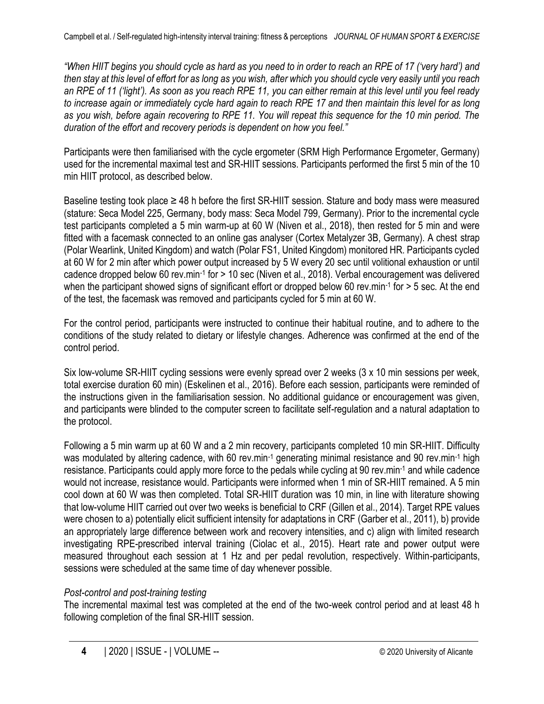*"When HIIT begins you should cycle as hard as you need to in order to reach an RPE of 17 ('very hard') and then stay at this level of effort for as long as you wish, after which you should cycle very easily until you reach an RPE of 11 ('light'). As soon as you reach RPE 11, you can either remain at this level until you feel ready to increase again or immediately cycle hard again to reach RPE 17 and then maintain this level for as long as you wish, before again recovering to RPE 11. You will repeat this sequence for the 10 min period. The duration of the effort and recovery periods is dependent on how you feel."*

Participants were then familiarised with the cycle ergometer (SRM High Performance Ergometer, Germany) used for the incremental maximal test and SR-HIIT sessions. Participants performed the first 5 min of the 10 min HIIT protocol, as described below.

Baseline testing took place  $\geq$  48 h before the first SR-HIIT session. Stature and body mass were measured (stature: Seca Model 225, Germany, body mass: Seca Model 799, Germany). Prior to the incremental cycle test participants completed a 5 min warm-up at 60 W (Niven et al., 2018), then rested for 5 min and were fitted with a facemask connected to an online gas analyser (Cortex Metalyzer 3B, Germany). A chest strap (Polar Wearlink, United Kingdom) and watch (Polar FS1, United Kingdom) monitored HR. Participants cycled at 60 W for 2 min after which power output increased by 5 W every 20 sec until volitional exhaustion or until cadence dropped below 60 rev.min-1 for > 10 sec (Niven et al., 2018). Verbal encouragement was delivered when the participant showed signs of significant effort or dropped below 60 rev.min-1 for > 5 sec. At the end of the test, the facemask was removed and participants cycled for 5 min at 60 W.

For the control period, participants were instructed to continue their habitual routine, and to adhere to the conditions of the study related to dietary or lifestyle changes. Adherence was confirmed at the end of the control period.

Six low-volume SR-HIIT cycling sessions were evenly spread over 2 weeks (3 x 10 min sessions per week, total exercise duration 60 min) (Eskelinen et al., 2016). Before each session, participants were reminded of the instructions given in the familiarisation session. No additional guidance or encouragement was given, and participants were blinded to the computer screen to facilitate self-regulation and a natural adaptation to the protocol.

Following a 5 min warm up at 60 W and a 2 min recovery, participants completed 10 min SR-HIIT. Difficulty was modulated by altering cadence, with 60 rev.min-1 generating minimal resistance and 90 rev.min-1 high resistance. Participants could apply more force to the pedals while cycling at 90 rev.min-1 and while cadence would not increase, resistance would. Participants were informed when 1 min of SR-HIIT remained. A 5 min cool down at 60 W was then completed. Total SR-HIIT duration was 10 min, in line with literature showing that low-volume HIIT carried out over two weeks is beneficial to CRF (Gillen et al., 2014). Target RPE values were chosen to a) potentially elicit sufficient intensity for adaptations in CRF (Garber et al., 2011), b) provide an appropriately large difference between work and recovery intensities, and c) align with limited research investigating RPE-prescribed interval training (Ciolac et al., 2015). Heart rate and power output were measured throughout each session at 1 Hz and per pedal revolution, respectively. Within-participants, sessions were scheduled at the same time of day whenever possible.

## *Post-control and post-training testing*

The incremental maximal test was completed at the end of the two-week control period and at least 48 h following completion of the final SR-HIIT session.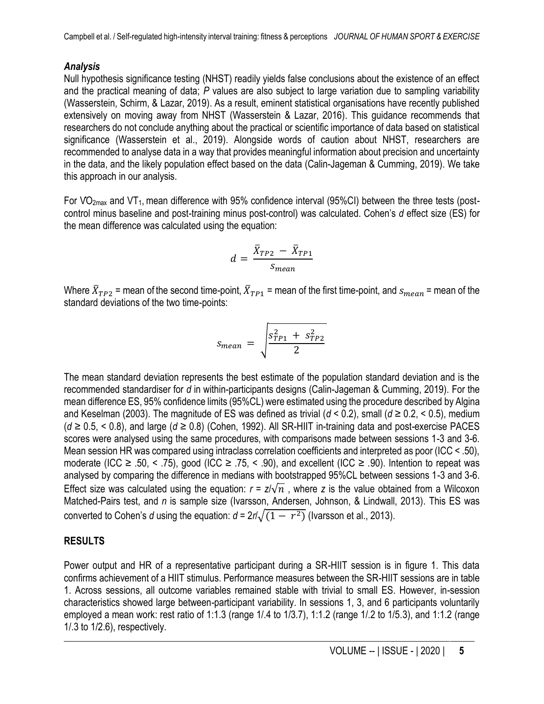## *Analysis*

Null hypothesis significance testing (NHST) readily yields false conclusions about the existence of an effect and the practical meaning of data; *P* values are also subject to large variation due to sampling variability (Wasserstein, Schirm, & Lazar, 2019). As a result, eminent statistical organisations have recently published extensively on moving away from NHST (Wasserstein & Lazar, 2016). This guidance recommends that researchers do not conclude anything about the practical or scientific importance of data based on statistical significance (Wasserstein et al., 2019). Alongside words of caution about NHST, researchers are recommended to analyse data in a way that provides meaningful information about precision and uncertainty in the data, and the likely population effect based on the data (Calin-Jageman & Cumming, 2019). We take this approach in our analysis.

For  $VO<sub>2max</sub>$  and  $VT<sub>1</sub>$ , mean difference with 95% confidence interval (95%CI) between the three tests (postcontrol minus baseline and post-training minus post-control) was calculated. Cohen's *d* effect size (ES) for the mean difference was calculated using the equation:

$$
d = \frac{\bar{X}_{TP2} - \bar{X}_{TP1}}{S_{mean}}
$$

Where  $\bar{X}_{TP2}$  = mean of the second time-point,  $\bar{X}_{TP1}$  = mean of the first time-point, and  $s_{mean}$  = mean of the standard deviations of the two time-points:

$$
s_{mean} = \sqrt{\frac{s_{TP1}^2 + s_{TP2}^2}{2}}
$$

The mean standard deviation represents the best estimate of the population standard deviation and is the recommended standardiser for *d* in within-participants designs (Calin-Jageman & Cumming, 2019). For the mean difference ES, 95% confidence limits (95%CL) were estimated using the procedure described by Algina and Keselman (2003). The magnitude of ES was defined as trivial (*d* < 0.2), small (*d* ≥ 0.2, < 0.5), medium (*d* ≥ 0.5, < 0.8), and large (*d* ≥ 0.8) (Cohen, 1992). All SR-HIIT in-training data and post-exercise PACES scores were analysed using the same procedures, with comparisons made between sessions 1-3 and 3-6. Mean session HR was compared using intraclass correlation coefficients and interpreted as poor (ICC < .50), moderate (ICC  $\geq$  .50, < .75), good (ICC  $\geq$  .75, < .90), and excellent (ICC  $\geq$  .90). Intention to repeat was analysed by comparing the difference in medians with bootstrapped 95%CL between sessions 1-3 and 3-6. Effect size was calculated using the equation:  $r = z/\sqrt{n}$ , where *z* is the value obtained from a Wilcoxon Matched-Pairs test, and *n* is sample size (Ivarsson, Andersen, Johnson, & Lindwall, 2013). This ES was converted to Cohen's *d* using the equation:  $d = 2r/\surd{(1 - r^2)}$  (Ivarsson et al., 2013).

## **RESULTS**

Power output and HR of a representative participant during a SR-HIIT session is in figure 1. This data confirms achievement of a HIIT stimulus. Performance measures between the SR-HIIT sessions are in table 1. Across sessions, all outcome variables remained stable with trivial to small ES. However, in-session characteristics showed large between-participant variability. In sessions 1, 3, and 6 participants voluntarily employed a mean work: rest ratio of 1:1.3 (range 1/.4 to 1/3.7), 1:1.2 (range 1/.2 to 1/5.3), and 1:1.2 (range 1/.3 to 1/2.6), respectively.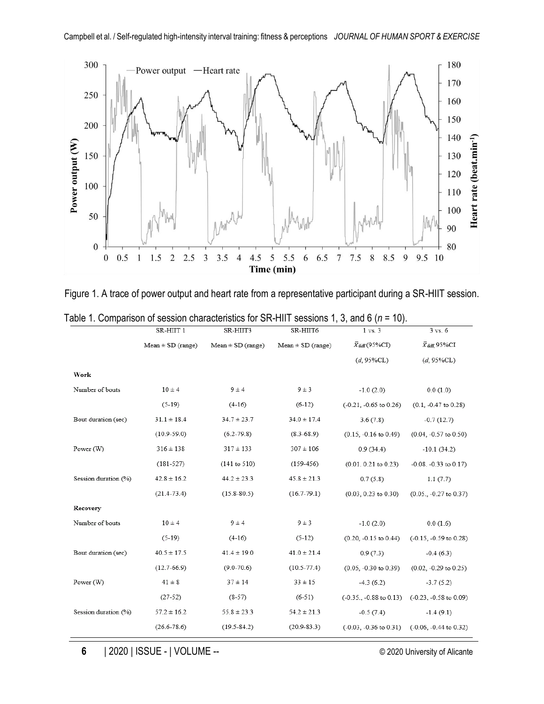

Figure 1. A trace of power output and heart rate from a representative participant during a SR-HIIT session.

|                      | SR-HIIT 1             | SR-HIIT3              | SR-HIIT6              | $1 \text{ vs. } 3$                | $3 \text{ vs. } 6$            |
|----------------------|-----------------------|-----------------------|-----------------------|-----------------------------------|-------------------------------|
|                      | $Mean \pm SD$ (range) | $Mean \pm SD$ (range) | $Mean \pm SD$ (range) | $\bar{X}_{diff}(95\%CI)$          | $\bar{X}$ diff, 95%CI         |
|                      |                       |                       |                       | $(d, 95\%CL)$                     | $(d, 95\%CL)$                 |
| Work                 |                       |                       |                       |                                   |                               |
| Number of bouts      | $10 \pm 4$            | $9 \pm 4$             | $9 \pm 3$             | $-1.0(2.0)$                       | 0.0(1.0)                      |
|                      | $(5-19)$              | $(4-16)$              | $(6-12)$              | $(-0.21, -0.65)$ to 0.26)         | $(0.1, -0.47$ to $0.28)$      |
| Bout duration (sec)  | $31.1 \pm 18.4$       | $34.7 \pm 23.7$       | $34.0 \pm 17.4$       | 3.6(7.8)                          | $-0.7(12.7)$                  |
|                      | $(10.9 - 59.0)$       | $(6.2 - 79.8)$        | $(8.3 - 68.9)$        | $(0.15, -0.16$ to $0.49)$         | $(0.04, -0.57$ to $0.50)$     |
| Power (W)            | $316 \pm 138$         | $317 \pm 133$         | $307 \pm 106$         | 0.9(34.4)                         | $-10.1(34.2)$                 |
|                      | $(181 - 527)$         | (141 to 510)          | $(159-456)$           | $(0.01. 0.21$ to $0.23)$          | $-0.08$ . $-0.33$ to $0.17$ ) |
| Session duration (%) | $42.8 \pm 16.2$       | $44.2 \pm 23.3$       | $45.8 \pm 21.3$       | 0.7(5.8)                          | 1.1(7.7)                      |
|                      | $(21.4 - 73.4)$       | $(15.8 - 80.5)$       | $(16.7 - 79.1)$       | $(0.03, 0.23$ to $0.30)$          | $(0.05., -0.27$ to $0.37)$    |
| Recovery             |                       |                       |                       |                                   |                               |
| Number of bouts      | $10 \pm 4$            | $9 \pm 4$             | $9 \pm 3$             | $-1.0(2.0)$                       | 0.0(1.6)                      |
|                      | $(5-19)$              | $(4-16)$              | $(5-12)$              | $(0.20, -0.15$ to $0.44)$         | $(-0.15, -0.59$ to $0.28)$    |
| Bout duration (sec)  | $40.5 \pm 17.5$       | $41.4 \pm 19.0$       | $41.0 \pm 21.4$       | 0.9(7.3)                          | $-0.4(6.3)$                   |
|                      | $(12.7-66.9)$         | $(9.0 - 70.6)$        | $(10.5 - 77.4)$       | $(0.05, -0.30$ to $0.39)$         | $(0.02, -0.29$ to $0.25)$     |
| Power (W)            | $41 \pm 8$            | $37 \pm 14$           | $33 \pm 15$           | $-4.3(6.2)$                       | $-3.7(5.2)$                   |
|                      | $(27-52)$             | $(8-57)$              | $(6-51)$              | $(-0.35, -0.88 \text{ to } 0.13)$ | $(-0.23, -0.58$ to $0.09)$    |
| Session duration (%) | $57.2 \pm 16.2$       | $55.8 \pm 23.3$       | $54.2 \pm 21.3$       | $-0.5(7.4)$                       | $-1.4(9.1)$                   |
|                      | $(26.6 - 78.6)$       | $(19.5 - 84.2)$       | $(20.9 - 83.3)$       | $(-0.03, -0.36)$ to $0.31$ )      | $(-0.06, -0.44$ to $0.32)$    |

Table 1. Comparison of session characteristics for SR-HIIT sessions 1, 3, and 6 (*n* = 10).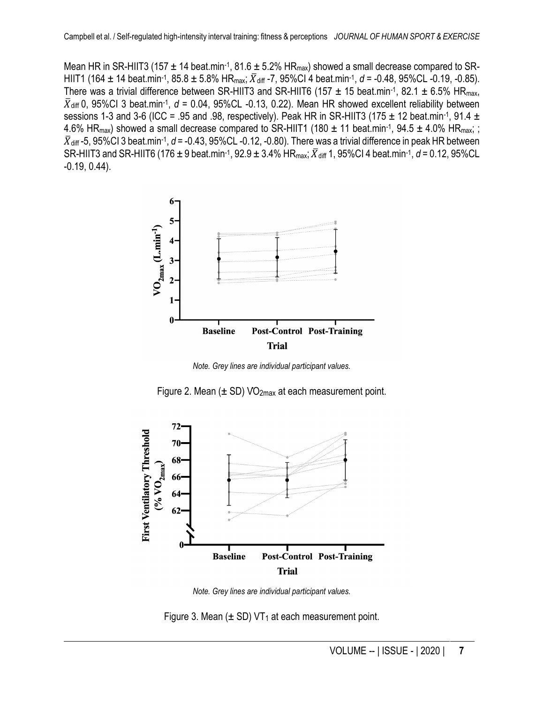Mean HR in SR-HIIT3 (157  $\pm$  14 beat.min-1, 81.6  $\pm$  5.2% HR<sub>max</sub>) showed a small decrease compared to SR-HIIT1 (164  $\pm$  14 beat.min<sup>-1</sup>, 85.8  $\pm$  5.8% HR<sub>max</sub>;  $\bar{X}_{\text{diff}}$  -7, 95%Cl 4 beat.min<sup>-1</sup>, *d* = -0.48, 95%CL -0.19, -0.85). There was a trivial difference between SR-HIIT3 and SR-HIIT6 (157  $\pm$  15 beat.min-1, 82.1  $\pm$  6.5% HR<sub>max</sub>,  $\bar{X}_{diff}$  0, 95%Cl 3 beat.min<sup>-1</sup>,  $d = 0.04$ , 95%CL -0.13, 0.22). Mean HR showed excellent reliability between sessions 1-3 and 3-6 (ICC = .95 and .98, respectively). Peak HR in SR-HIIT3 (175  $\pm$  12 beat.min-1, 91.4  $\pm$ 4.6% HR<sub>max</sub>) showed a small decrease compared to SR-HIIT1 (180  $\pm$  11 beat.min-1, 94.5  $\pm$  4.0% HR<sub>max</sub>; ;  $\bar{X}_{\text{diff}}$ -5, 95%Cl 3 beat.min-1,  $d$  = -0.43, 95%CL -0.12, -0.80). There was a trivial difference in peak HR between SR-HIIT3 and SR-HIIT6 (176 ± 9 beat.min<sup>-1</sup>, 92.9 ± 3.4% HR<sub>max</sub>;  $\bar{X}_{\text{diff}}$  1, 95%Cl 4 beat.min<sup>-1</sup>, d = 0.12, 95%CL -0.19, 0.44).



*Note. Grey lines are individual participant values.*





*Note. Grey lines are individual participant values.*

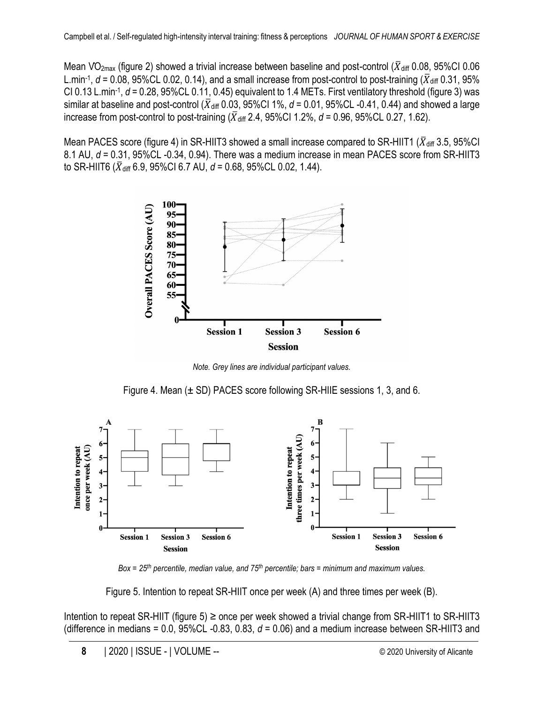Mean VO<sub>2max</sub> (figure 2) showed a trivial increase between baseline and post-control ( $\bar{X}_{diff}$  0.08, 95%CI 0.06 L.min<sup>-1</sup>,  $d$  = 0.08, 95%CL 0.02, 0.14), and a small increase from post-control to post-training ( $\bar{X}_{\text{diff}}$  0.31, 95% CI 0.13 L.min<sup>-1</sup>, *d* = 0.28, 95%CL 0.11, 0.45) equivalent to 1.4 METs. First ventilatory threshold (figure 3) was similar at baseline and post-control ( $\bar{X}_{diff}$  0.03, 95%CI 1%,  $d = 0.01$ , 95%CL -0.41, 0.44) and showed a large increase from post-control to post-training  $(\bar{X}_{diff} 2.4, 95\% \text{Cl} 1.2\%$ ,  $d = 0.96, 95\% \text{Cl} 0.27, 1.62)$ .

Mean PACES score (figure 4) in SR-HIIT3 showed a small increase compared to SR-HIIT1 ( $\bar{X}_{diff}$  3.5, 95%CI) 8.1 AU, *d* = 0.31, 95%CL -0.34, 0.94). There was a medium increase in mean PACES score from SR-HIIT3 to SR-HIIT6 ( $\bar{X}_{diff}$  6.9, 95%CI 6.7 AU,  $d = 0.68$ , 95%CL 0.02, 1.44).



*Note. Grey lines are individual participant values.*

Figure 4. Mean  $(\pm$  SD) PACES score following SR-HIIE sessions 1, 3, and 6.



*Box = 25th percentile, median value, and 75th percentile; bars = minimum and maximum values.*

Figure 5. Intention to repeat SR-HIIT once per week (A) and three times per week (B).

Intention to repeat SR-HIIT (figure 5)  $\geq$  once per week showed a trivial change from SR-HIIT1 to SR-HIIT3 (difference in medians = 0.0, 95%CL -0.83, 0.83, *d* = 0.06) and a medium increase between SR-HIIT3 and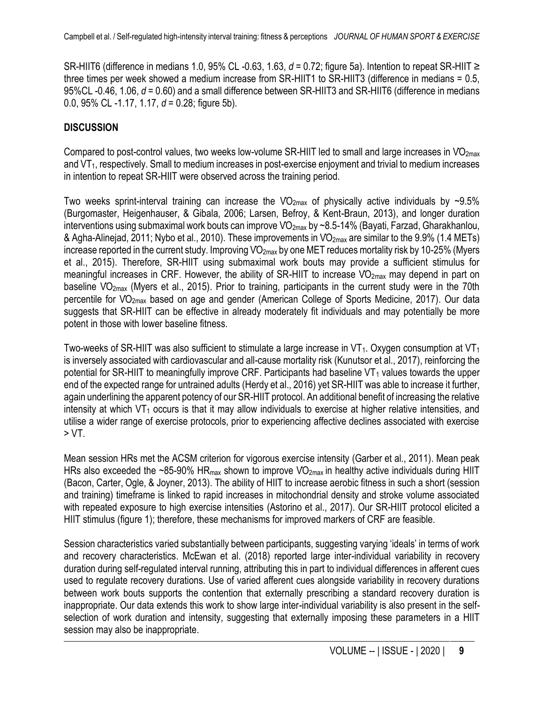SR-HIIT6 (difference in medians 1.0, 95% CL -0.63, 1.63, *d* = 0.72; figure 5a). Intention to repeat SR-HIIT ≥ three times per week showed a medium increase from SR-HIIT1 to SR-HIIT3 (difference in medians = 0.5, 95%CL -0.46, 1.06, *d* = 0.60) and a small difference between SR-HIIT3 and SR-HIIT6 (difference in medians 0.0, 95% CL -1.17, 1.17, *d* = 0.28; figure 5b).

#### **DISCUSSION**

Compared to post-control values, two weeks low-volume SR-HIIT led to small and large increases in  $VO<sub>2max</sub>$ and VT<sub>1</sub>, respectively. Small to medium increases in post-exercise enjoyment and trivial to medium increases in intention to repeat SR-HIIT were observed across the training period.

Two weeks sprint-interval training can increase the  $VO_{2max}$  of physically active individuals by ~9.5% (Burgomaster, Heigenhauser, & Gibala, 2006; Larsen, Befroy, & Kent-Braun, 2013), and longer duration interventions using submaximal work bouts can improve  $VO_{2max}$  by ~8.5-14% (Bayati, Farzad, Gharakhanlou, & Agha-Alinejad, 2011; Nybo et al., 2010). These improvements in  $VO_{2max}$  are similar to the 9.9% (1.4 METs) increase reported in the current study. Improving  $VO_{2max}$  by one MET reduces mortality risk by 10-25% (Myers et al., 2015). Therefore, SR-HIIT using submaximal work bouts may provide a sufficient stimulus for meaningful increases in CRF. However, the ability of SR-HIIT to increase VO<sub>2max</sub> may depend in part on baseline VO<sub>2max</sub> (Myers et al., 2015). Prior to training, participants in the current study were in the 70th percentile for V̇O2max based on age and gender (American College of Sports Medicine, 2017). Our data suggests that SR-HIIT can be effective in already moderately fit individuals and may potentially be more potent in those with lower baseline fitness.

Two-weeks of SR-HIIT was also sufficient to stimulate a large increase in  $VT_1$ . Oxygen consumption at  $VT_1$ is inversely associated with cardiovascular and all-cause mortality risk (Kunutsor et al., 2017), reinforcing the potential for SR-HIIT to meaningfully improve CRF. Participants had baseline  $VT_1$  values towards the upper end of the expected range for untrained adults (Herdy et al., 2016) yet SR-HIIT was able to increase it further, again underlining the apparent potency of our SR-HIIT protocol. An additional benefit of increasing the relative intensity at which  $VT_1$  occurs is that it may allow individuals to exercise at higher relative intensities, and utilise a wider range of exercise protocols, prior to experiencing affective declines associated with exercise > VT.

Mean session HRs met the ACSM criterion for vigorous exercise intensity (Garber et al., 2011). Mean peak HRs also exceeded the ~85-90% HR<sub>max</sub> shown to improve VO<sub>2max</sub> in healthy active individuals during HIIT (Bacon, Carter, Ogle, & Joyner, 2013). The ability of HIIT to increase aerobic fitness in such a short (session and training) timeframe is linked to rapid increases in mitochondrial density and stroke volume associated with repeated exposure to high exercise intensities (Astorino et al., 2017). Our SR-HIIT protocol elicited a HIIT stimulus (figure 1); therefore, these mechanisms for improved markers of CRF are feasible.

Session characteristics varied substantially between participants, suggesting varying 'ideals' in terms of work and recovery characteristics. McEwan et al. (2018) reported large inter-individual variability in recovery duration during self-regulated interval running, attributing this in part to individual differences in afferent cues used to regulate recovery durations. Use of varied afferent cues alongside variability in recovery durations between work bouts supports the contention that externally prescribing a standard recovery duration is inappropriate. Our data extends this work to show large inter-individual variability is also present in the selfselection of work duration and intensity, suggesting that externally imposing these parameters in a HIIT session may also be inappropriate.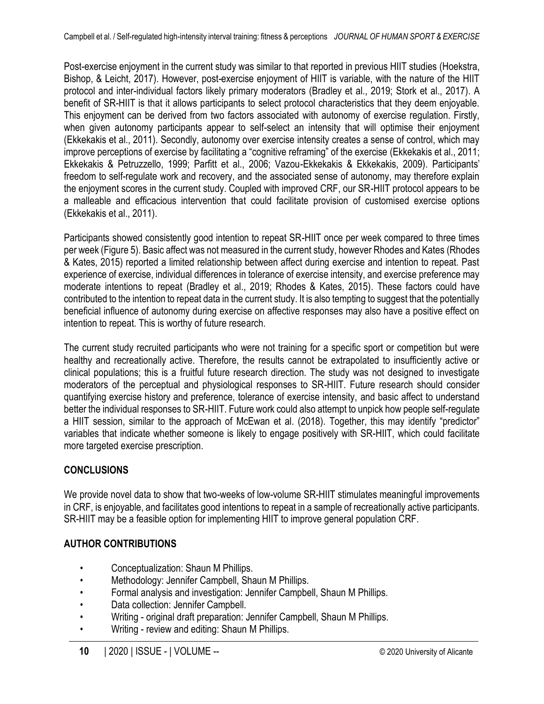Post-exercise enjoyment in the current study was similar to that reported in previous HIIT studies (Hoekstra, Bishop, & Leicht, 2017). However, post-exercise enjoyment of HIIT is variable, with the nature of the HIIT protocol and inter-individual factors likely primary moderators (Bradley et al., 2019; Stork et al., 2017). A benefit of SR-HIIT is that it allows participants to select protocol characteristics that they deem enjoyable. This enjoyment can be derived from two factors associated with autonomy of exercise regulation. Firstly, when given autonomy participants appear to self-select an intensity that will optimise their enjoyment (Ekkekakis et al., 2011). Secondly, autonomy over exercise intensity creates a sense of control, which may improve perceptions of exercise by facilitating a "cognitive reframing" of the exercise (Ekkekakis et al., 2011; Ekkekakis & Petruzzello, 1999; Parfitt et al., 2006; Vazou-Ekkekakis & Ekkekakis, 2009). Participants' freedom to self-regulate work and recovery, and the associated sense of autonomy, may therefore explain the enjoyment scores in the current study. Coupled with improved CRF, our SR-HIIT protocol appears to be a malleable and efficacious intervention that could facilitate provision of customised exercise options (Ekkekakis et al., 2011).

Participants showed consistently good intention to repeat SR-HIIT once per week compared to three times per week (Figure 5). Basic affect was not measured in the current study, however Rhodes and Kates (Rhodes & Kates, 2015) reported a limited relationship between affect during exercise and intention to repeat. Past experience of exercise, individual differences in tolerance of exercise intensity, and exercise preference may moderate intentions to repeat (Bradley et al., 2019; Rhodes & Kates, 2015). These factors could have contributed to the intention to repeat data in the current study. It is also tempting to suggest that the potentially beneficial influence of autonomy during exercise on affective responses may also have a positive effect on intention to repeat. This is worthy of future research.

The current study recruited participants who were not training for a specific sport or competition but were healthy and recreationally active. Therefore, the results cannot be extrapolated to insufficiently active or clinical populations; this is a fruitful future research direction. The study was not designed to investigate moderators of the perceptual and physiological responses to SR-HIIT. Future research should consider quantifying exercise history and preference, tolerance of exercise intensity, and basic affect to understand better the individual responses to SR-HIIT. Future work could also attempt to unpick how people self-regulate a HIIT session, similar to the approach of McEwan et al. (2018). Together, this may identify "predictor" variables that indicate whether someone is likely to engage positively with SR-HIIT, which could facilitate more targeted exercise prescription.

## **CONCLUSIONS**

We provide novel data to show that two-weeks of low-volume SR-HIIT stimulates meaningful improvements in CRF, is enjoyable, and facilitates good intentions to repeat in a sample of recreationally active participants. SR-HIIT may be a feasible option for implementing HIIT to improve general population CRF.

## **AUTHOR CONTRIBUTIONS**

- Conceptualization: Shaun M Phillips.
- Methodology: Jennifer Campbell, Shaun M Phillips.
- Formal analysis and investigation: Jennifer Campbell, Shaun M Phillips.
- Data collection: Jennifer Campbell.
- Writing original draft preparation: Jennifer Campbell, Shaun M Phillips.
- Writing review and editing: Shaun M Phillips.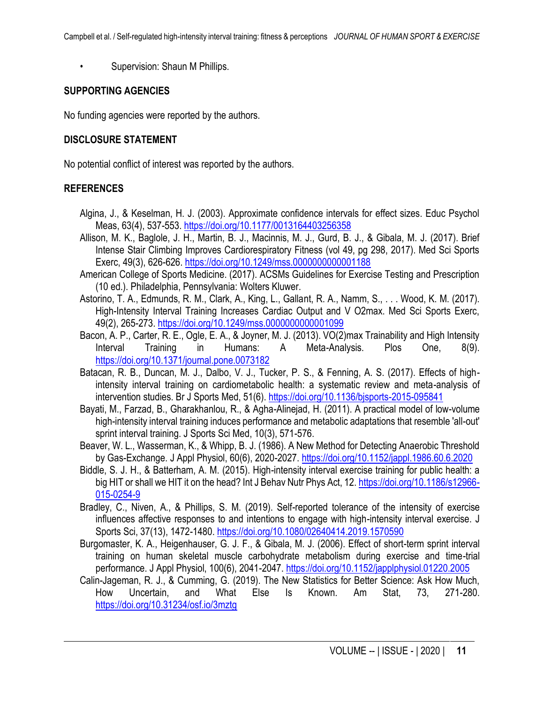• Supervision: Shaun M Phillips.

#### **SUPPORTING AGENCIES**

No funding agencies were reported by the authors.

#### **DISCLOSURE STATEMENT**

No potential conflict of interest was reported by the authors.

#### **REFERENCES**

- Algina, J., & Keselman, H. J. (2003). Approximate confidence intervals for effect sizes. Educ Psychol Meas, 63(4), 537-553.<https://doi.org/10.1177/0013164403256358>
- Allison, M. K., Baglole, J. H., Martin, B. J., Macinnis, M. J., Gurd, B. J., & Gibala, M. J. (2017). Brief Intense Stair Climbing Improves Cardiorespiratory Fitness (vol 49, pg 298, 2017). Med Sci Sports Exerc, 49(3), 626-626.<https://doi.org/10.1249/mss.0000000000001188>
- American College of Sports Medicine. (2017). ACSMs Guidelines for Exercise Testing and Prescription (10 ed.). Philadelphia, Pennsylvania: Wolters Kluwer.
- Astorino, T. A., Edmunds, R. M., Clark, A., King, L., Gallant, R. A., Namm, S., . . . Wood, K. M. (2017). High-Intensity Interval Training Increases Cardiac Output and V O2max. Med Sci Sports Exerc, 49(2), 265-273[. https://doi.org/10.1249/mss.0000000000001099](https://doi.org/10.1249/mss.0000000000001099)
- Bacon, A. P., Carter, R. E., Ogle, E. A., & Joyner, M. J. (2013). VO(2)max Trainability and High Intensity Interval Training in Humans: A Meta-Analysis. Plos One, 8(9). <https://doi.org/10.1371/journal.pone.0073182>
- Batacan, R. B., Duncan, M. J., Dalbo, V. J., Tucker, P. S., & Fenning, A. S. (2017). Effects of highintensity interval training on cardiometabolic health: a systematic review and meta-analysis of intervention studies. Br J Sports Med, 51(6).<https://doi.org/10.1136/bjsports-2015-095841>
- Bayati, M., Farzad, B., Gharakhanlou, R., & Agha-Alinejad, H. (2011). A practical model of low-volume high-intensity interval training induces performance and metabolic adaptations that resemble 'all-out' sprint interval training. J Sports Sci Med, 10(3), 571-576.
- Beaver, W. L., Wasserman, K., & Whipp, B. J. (1986). A New Method for Detecting Anaerobic Threshold by Gas-Exchange. J Appl Physiol, 60(6), 2020-2027.<https://doi.org/10.1152/jappl.1986.60.6.2020>
- Biddle, S. J. H., & Batterham, A. M. (2015). High-intensity interval exercise training for public health: a big HIT or shall we HIT it on the head? Int J Behav Nutr Phys Act, 12. [https://doi.org/10.1186/s12966-](https://doi.org/10.1186/s12966-015-0254-9) [015-0254-9](https://doi.org/10.1186/s12966-015-0254-9)
- Bradley, C., Niven, A., & Phillips, S. M. (2019). Self-reported tolerance of the intensity of exercise influences affective responses to and intentions to engage with high-intensity interval exercise. J Sports Sci, 37(13), 1472-1480.<https://doi.org/10.1080/02640414.2019.1570590>
- Burgomaster, K. A., Heigenhauser, G. J. F., & Gibala, M. J. (2006). Effect of short-term sprint interval training on human skeletal muscle carbohydrate metabolism during exercise and time-trial performance. J Appl Physiol, 100(6), 2041-2047.<https://doi.org/10.1152/japplphysiol.01220.2005>
- Calin-Jageman, R. J., & Cumming, G. (2019). The New Statistics for Better Science: Ask How Much, How Uncertain, and What Else Is Known. Am Stat, 73, 271-280. <https://doi.org/10.31234/osf.io/3mztg>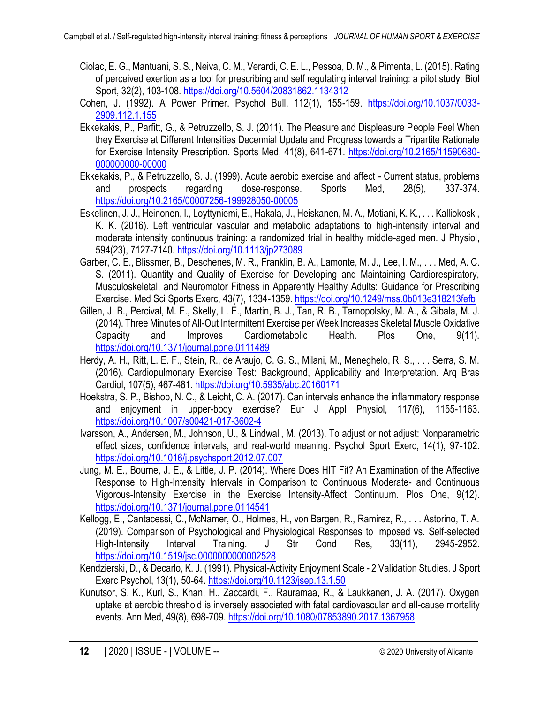- Ciolac, E. G., Mantuani, S. S., Neiva, C. M., Verardi, C. E. L., Pessoa, D. M., & Pimenta, L. (2015). Rating of perceived exertion as a tool for prescribing and self regulating interval training: a pilot study. Biol Sport, 32(2), 103-108[. https://doi.org/10.5604/20831862.1134312](https://doi.org/10.5604/20831862.1134312)
- Cohen, J. (1992). A Power Primer. Psychol Bull, 112(1), 155-159. [https://doi.org/10.1037/0033-](https://doi.org/10.1037/0033-2909.112.1.155) [2909.112.1.155](https://doi.org/10.1037/0033-2909.112.1.155)
- Ekkekakis, P., Parfitt, G., & Petruzzello, S. J. (2011). The Pleasure and Displeasure People Feel When they Exercise at Different Intensities Decennial Update and Progress towards a Tripartite Rationale for Exercise Intensity Prescription. Sports Med, 41(8), 641-671. [https://doi.org/10.2165/11590680-](https://doi.org/10.2165/11590680-000000000-00000) [000000000-00000](https://doi.org/10.2165/11590680-000000000-00000)
- Ekkekakis, P., & Petruzzello, S. J. (1999). Acute aerobic exercise and affect Current status, problems and prospects regarding dose-response. Sports Med, 28(5), 337-374. <https://doi.org/10.2165/00007256-199928050-00005>
- Eskelinen, J. J., Heinonen, I., Loyttyniemi, E., Hakala, J., Heiskanen, M. A., Motiani, K. K., . . . Kalliokoski, K. K. (2016). Left ventricular vascular and metabolic adaptations to high-intensity interval and moderate intensity continuous training: a randomized trial in healthy middle-aged men. J Physiol, 594(23), 7127-7140.<https://doi.org/10.1113/jp273089>
- Garber, C. E., Blissmer, B., Deschenes, M. R., Franklin, B. A., Lamonte, M. J., Lee, I. M., . . . Med, A. C. S. (2011). Quantity and Quality of Exercise for Developing and Maintaining Cardiorespiratory, Musculoskeletal, and Neuromotor Fitness in Apparently Healthy Adults: Guidance for Prescribing Exercise. Med Sci Sports Exerc, 43(7), 1334-1359.<https://doi.org/10.1249/mss.0b013e318213fefb>
- Gillen, J. B., Percival, M. E., Skelly, L. E., Martin, B. J., Tan, R. B., Tarnopolsky, M. A., & Gibala, M. J. (2014). Three Minutes of All-Out Intermittent Exercise per Week Increases Skeletal Muscle Oxidative Capacity and Improves Cardiometabolic Health. Plos One, 9(11). <https://doi.org/10.1371/journal.pone.0111489>
- Herdy, A. H., Ritt, L. E. F., Stein, R., de Araujo, C. G. S., Milani, M., Meneghelo, R. S., . . . Serra, S. M. (2016). Cardiopulmonary Exercise Test: Background, Applicability and Interpretation. Arq Bras Cardiol, 107(5), 467-481.<https://doi.org/10.5935/abc.20160171>
- Hoekstra, S. P., Bishop, N. C., & Leicht, C. A. (2017). Can intervals enhance the inflammatory response and enjoyment in upper-body exercise? Eur J Appl Physiol, 117(6), 1155-1163. <https://doi.org/10.1007/s00421-017-3602-4>
- Ivarsson, A., Andersen, M., Johnson, U., & Lindwall, M. (2013). To adjust or not adjust: Nonparametric effect sizes, confidence intervals, and real-world meaning. Psychol Sport Exerc, 14(1), 97-102. <https://doi.org/10.1016/j.psychsport.2012.07.007>
- Jung, M. E., Bourne, J. E., & Little, J. P. (2014). Where Does HIT Fit? An Examination of the Affective Response to High-Intensity Intervals in Comparison to Continuous Moderate- and Continuous Vigorous-Intensity Exercise in the Exercise Intensity-Affect Continuum. Plos One, 9(12). <https://doi.org/10.1371/journal.pone.0114541>
- Kellogg, E., Cantacessi, C., McNamer, O., Holmes, H., von Bargen, R., Ramirez, R., . . . Astorino, T. A. (2019). Comparison of Psychological and Physiological Responses to Imposed vs. Self-selected High-Intensity Interval Training. J Str Cond Res, 33(11), 2945-2952. <https://doi.org/10.1519/jsc.0000000000002528>
- Kendzierski, D., & Decarlo, K. J. (1991). Physical-Activity Enjoyment Scale 2 Validation Studies. J Sport Exerc Psychol, 13(1), 50-64.<https://doi.org/10.1123/jsep.13.1.50>
- Kunutsor, S. K., Kurl, S., Khan, H., Zaccardi, F., Rauramaa, R., & Laukkanen, J. A. (2017). Oxygen uptake at aerobic threshold is inversely associated with fatal cardiovascular and all-cause mortality events. Ann Med, 49(8), 698-709.<https://doi.org/10.1080/07853890.2017.1367958>